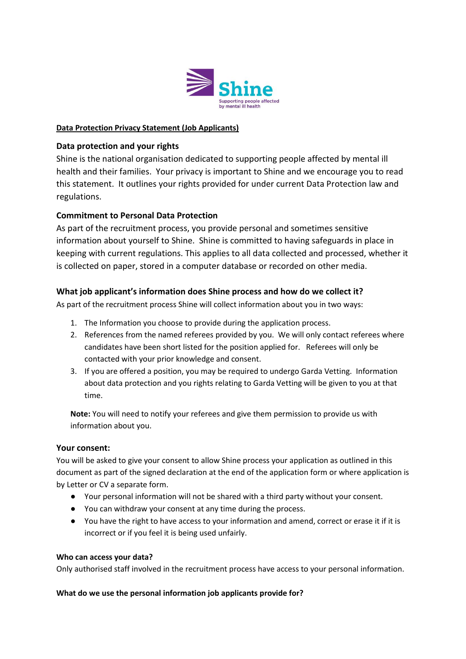

# **Data Protection Privacy Statement (Job Applicants)**

# **Data protection and your rights**

Shine is the national organisation dedicated to supporting people affected by mental ill health and their families. Your privacy is important to Shine and we encourage you to read this statement. It outlines your rights provided for under current Data Protection law and regulations.

# **Commitment to Personal Data Protection**

As part of the recruitment process, you provide personal and sometimes sensitive information about yourself to Shine. Shine is committed to having safeguards in place in keeping with current regulations. This applies to all data collected and processed, whether it is collected on paper, stored in a computer database or recorded on other media.

## **What job applicant's information does Shine process and how do we collect it?**

As part of the recruitment process Shine will collect information about you in two ways:

- 1. The Information you choose to provide during the application process.
- 2. References from the named referees provided by you. We will only contact referees where candidates have been short listed for the position applied for. Referees will only be contacted with your prior knowledge and consent.
- 3. If you are offered a position, you may be required to undergo Garda Vetting. Information about data protection and you rights relating to Garda Vetting will be given to you at that time.

**Note:** You will need to notify your referees and give them permission to provide us with information about you.

### **Your consent:**

You will be asked to give your consent to allow Shine process your application as outlined in this document as part of the signed declaration at the end of the application form or where application is by Letter or CV a separate form.

- Your personal information will not be shared with a third party without your consent.
- You can withdraw your consent at any time during the process.
- You have the right to have access to your information and amend, correct or erase it if it is incorrect or if you feel it is being used unfairly.

### **Who can access your data?**

Only authorised staff involved in the recruitment process have access to your personal information.

### **What do we use the personal information job applicants provide for?**